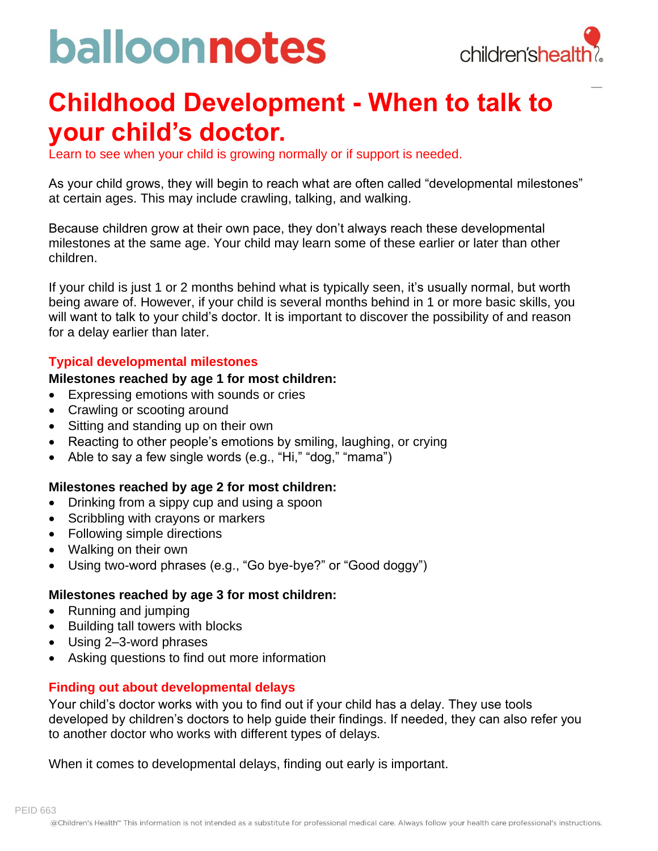# balloonnotes



### **Childhood Development - When to talk to your child's doctor.**

Learn to see when your child is growing normally or if support is needed.

As your child grows, they will begin to reach what are often called "developmental milestones" at certain ages. This may include crawling, talking, and walking.

Because children grow at their own pace, they don't always reach these developmental milestones at the same age. Your child may learn some of these earlier or later than other children.

If your child is just 1 or 2 months behind what is typically seen, it's usually normal, but worth being aware of. However, if your child is several months behind in 1 or more basic skills, you will want to talk to your child's doctor. It is important to discover the possibility of and reason for a delay earlier than later.

#### **Typical developmental milestones**

#### **Milestones reached by age 1 for most children:**

- Expressing emotions with sounds or cries
- Crawling or scooting around
- Sitting and standing up on their own
- Reacting to other people's emotions by smiling, laughing, or crying
- Able to say a few single words (e.g., "Hi," "dog," "mama")

#### **Milestones reached by age 2 for most children:**

- Drinking from a sippy cup and using a spoon
- Scribbling with crayons or markers
- Following simple directions
- Walking on their own
- Using two-word phrases (e.g., "Go bye-bye?" or "Good doggy")

#### **Milestones reached by age 3 for most children:**

- Running and jumping
- Building tall towers with blocks
- Using 2–3-word phrases
- Asking questions to find out more information

#### **Finding out about developmental delays**

Your child's doctor works with you to find out if your child has a delay. They use tools developed by children's doctors to help guide their findings. If needed, they can also refer you to another doctor who works with different types of delays.

When it comes to developmental delays, finding out early is important.